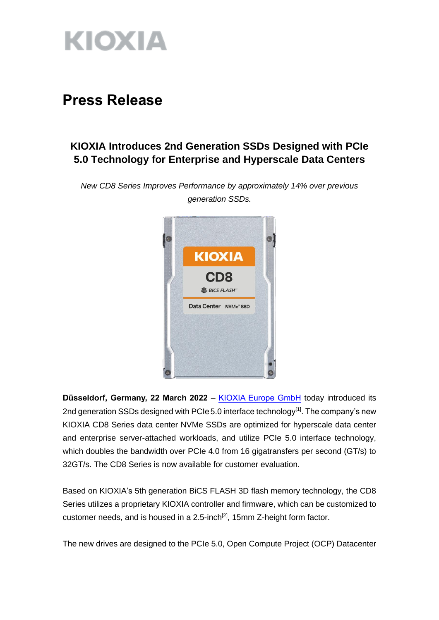

# **Press Release**

# **KIOXIA Introduces 2nd Generation SSDs Designed with PCIe 5.0 Technology for Enterprise and Hyperscale Data Centers**

*New CD8 Series Improves Performance by approximately 14% over previous generation SSDs.*



**Düsseldorf, Germany, 22 March 2022** – [KIOXIA Europe GmbH](https://www.kioxia.com/en-emea/top.html) today introduced its 2nd generation SSDs designed with PCIe 5.0 interface technology<sup>[1]</sup>. The company's new KIOXIA CD8 Series data center NVMe SSDs are optimized for hyperscale data center and enterprise server-attached workloads, and utilize PCIe 5.0 interface technology, which doubles the bandwidth over PCIe 4.0 from 16 gigatransfers per second (GT/s) to 32GT/s. The CD8 Series is now available for customer evaluation.

Based on KIOXIA's 5th generation BiCS FLASH 3D flash memory technology, the CD8 Series utilizes a proprietary KIOXIA controller and firmware, which can be customized to customer needs, and is housed in a  $2.5$ -inch<sup>[2]</sup>, 15mm Z-height form factor.

The new drives are designed to the PCIe 5.0, Open Compute Project (OCP) Datacenter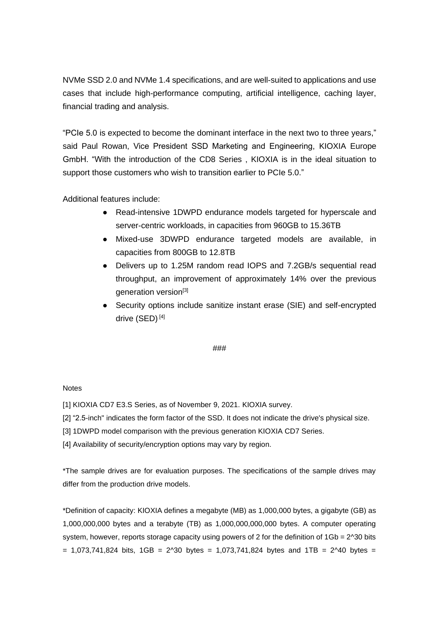NVMe SSD 2.0 and NVMe 1.4 specifications, and are well-suited to applications and use cases that include high-performance computing, artificial intelligence, caching layer, financial trading and analysis.

"PCIe 5.0 is expected to become the dominant interface in the next two to three years," said Paul Rowan, Vice President SSD Marketing and Engineering, KIOXIA Europe GmbH. "With the introduction of the CD8 Series , KIOXIA is in the ideal situation to support those customers who wish to transition earlier to PCIe 5.0."

Additional features include:

- Read-intensive 1DWPD endurance models targeted for hyperscale and server-centric workloads, in capacities from 960GB to 15.36TB
- Mixed-use 3DWPD endurance targeted models are available, in capacities from 800GB to 12.8TB
- Delivers up to 1.25M random read IOPS and 7.2GB/s sequential read throughput, an improvement of approximately 14% over the previous generation version<sup>[3]</sup>
- Security options include sanitize instant erase (SIE) and self-encrypted drive (SED) [4]

# ###

# **Notes**

[1] KIOXIA CD7 E3.S Series, as of November 9, 2021. KIOXIA survey.

[2] "2.5-inch" indicates the form factor of the SSD. It does not indicate the drive's physical size.

[3] 1DWPD model comparison with the previous generation KIOXIA CD7 Series.

[4] Availability of security/encryption options may vary by region.

\*The sample drives are for evaluation purposes. The specifications of the sample drives may differ from the production drive models.

\*Definition of capacity: KIOXIA defines a megabyte (MB) as 1,000,000 bytes, a gigabyte (GB) as 1,000,000,000 bytes and a terabyte (TB) as 1,000,000,000,000 bytes. A computer operating system, however, reports storage capacity using powers of 2 for the definition of  $1Gb = 2^230$  bits  $= 1,073,741,824$  bits, 1GB = 2^30 bytes = 1,073,741,824 bytes and 1TB = 2^40 bytes =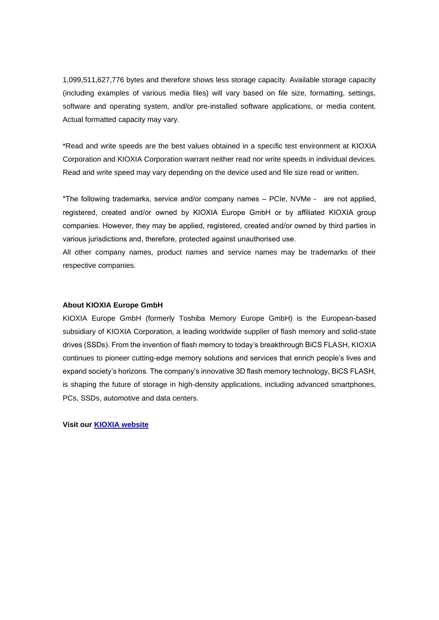1,099,511,627,776 bytes and therefore shows less storage capacity. Available storage capacity (including examples of various media files) will vary based on file size, formatting, settings, software and operating system, and/or pre-installed software applications, or media content. Actual formatted capacity may vary.

\*Read and write speeds are the best values obtained in a specific test environment at KIOXIA Corporation and KIOXIA Corporation warrant neither read nor write speeds in individual devices. Read and write speed may vary depending on the device used and file size read or written.

\*The following trademarks, service and/or company names – PCIe, NVMe - are not applied, registered, created and/or owned by KIOXIA Europe GmbH or by affiliated KIOXIA group companies. However, they may be applied, registered, created and/or owned by third parties in various jurisdictions and, therefore, protected against unauthorised use.

All other company names, product names and service names may be trademarks of their respective companies.

#### **About KIOXIA Europe GmbH**

KIOXIA Europe GmbH (formerly Toshiba Memory Europe GmbH) is the European-based subsidiary of KIOXIA Corporation, a leading worldwide supplier of flash memory and solid-state drives (SSDs). From the invention of flash memory to today's breakthrough BiCS FLASH, KIOXIA continues to pioneer cutting-edge memory solutions and services that enrich people's lives and expand society's horizons. The company's innovative 3D flash memory technology, BiCS FLASH, is shaping the future of storage in high-density applications, including advanced smartphones, PCs, SSDs, automotive and data centers.

**Visit our [KIOXIA website](https://www.kioxia.com/en-emea/top.html)**